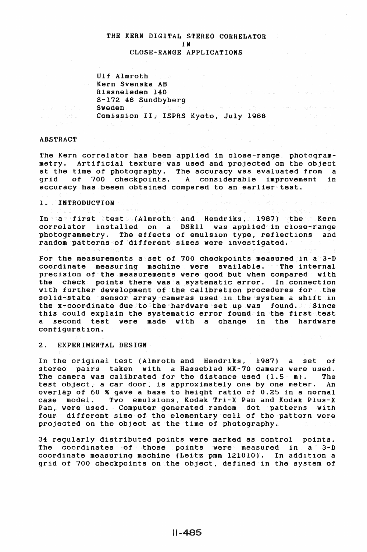# THE KERN DIGITAL STEREO CORRELATOR IN CLOSE-RANGE APPLICATIONS

Ulf Almroth Kern Svenska AB Rissneleden 140 S-172 48 Sundbyberg Sweden **Sweden** San Working Company of San Western Company of the San Western Company of the San Western Company of the S<br>Comission II, ISPRS Kyoto, July 1988

# ABSTRACT

The Kern correlator has been applied in close-range photogrammetry. Artificial texture was used and projected on the object at the time of photography. The accuracy was evaluated from a grid of 700 checkpoints. A considerable improvement in accuracy has beeen obtained compared to an earlier test.

#### 1. INTRODUCTION

In a first test (Almroth and Hendriks, 1987) the Kern correlator installed on a DSRII was applied in close-range photogrammetry. The effects of emulsion type, reflections and random patterns of different sizes were investigated.

For the measurements a set of 700 checkpoints measured in a 3-D coordinate measuring machine were available. The internal precision of the measurements were good but when compared with the check points there was a systematic error. In connection with further development of the calibration procedures for the solid-state sensor array cameras used in the system a shift in the x+coordinate due to the hardware set up was sfound. Since this could explain the systematic error found in the first test a second test were made with a change in the hardware configuration.

# 2. EXPERIMENTAL DESIGN

In the original test (Almroth and Hendriks, 1987) a set of stereo pairs taken with a Hasseblad MK-70 camera were used. The camera was calibrated for the distance used  $(1.5 - m)$ . The test object, a car door, is approximately one by one meter. An overlap of 60 % gave a base to height ratio of 0.25 in a normal case model. Two emulsions, Kodak Tri-X Pan and Kodak Plus-X Pan, were used. Computer generated random dot patterns with four different size of the elementary cell of the pattern were projected on the object at the time of photography.

34 regularly distributed points were marked as control points. The coordinates of those points were measured in  $a^2$  3-D coordinate measuring machine (Leitz pmm 121010). In add1t1on a grid of 700 checkpoints on the object, defined in the system of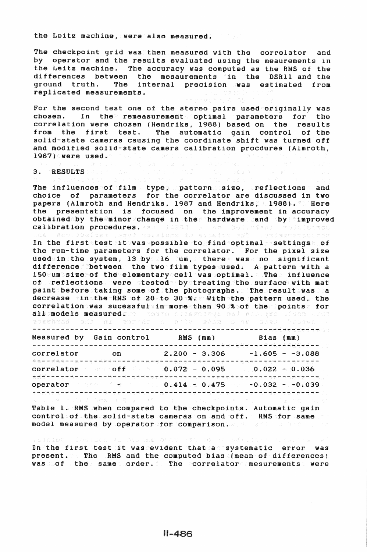the Leitz machine, vere also measured.

The checkpoint grid was then measured with the correlator and by operator and the results evaluated using the meaurements in the Leitz machine. The accuracy was computed as the RMS of the differences between the mesaurements in the DSRll and the ground truth. The internal precision was estimated from replicated measurements.

For the second test one of the stereo pairs used originally was chosen. In the remeasurement optimal parameters for the correlation were chosen (Hendriks, 1988) based on the results from the first test. The automatic gain control of the solid-state cameras causing the coordinate shift was turned off and modified solid-state camera calibration procdures (Almroth. 1987) were used.

- Justific Dialogue State Dialogue State Information 2012年

**Service Control** 

#### 3. RESULTS SURVEY AND AN

The influences of film type, pattern size, reflections and choice of parameters for the correlator are discussed in two papers (Almroth and Hendriks, 1987 and Hendriks, 1988). There the presentation is focused on the improvement in accuracy obtained by the minor change in the hardware cand by improved calibration procedures. aav illas a sa belistant roduistrat<br>Las enotipeliar ,egyd solaidge to abbatte en? (vrdaestabiode

Ins endities ary notaless to side and any prestedience<br>In the firstatest it was possible to find optimal settings of the run-time parameters for the correlator. For the pixel size used in the system, 13 by 16 um, there was no significant difference between the two film types used. A pattern with a 150 um size of the elementary cell was optimal. The influence of reflections were tested by treating the surface with mat paint before taking some of the photographs. The result was a decrease in the RMS of 20 to 30 %. With the pattern used. the correlation was sucessful in more than 90 % of the points for all:**models measured.**sol comme cidamedaya and mistogre bisoc sidd<br>avawbrad sad di apryab a dile sobm olev dasd badoel h  $\frac{\partial \mathcal{U}_i}{\partial \mathcal{U}}$ 

|  | SVDTSC |  | 國 经一定        |
|--|--------|--|--------------|
|  |        |  | and a family |

|            | Measured by Gain control | RMS (mm)                                 | ਨਾ ਸਾਹ ਨਾ ਦਾ ਭਰ ਦਿੱਤੀ ਹੈ ਹੋ?<br>Bias (mm)<br>ی ایک است که است که این است می شود. این است این است که این این است که است این این این این این این این این این |
|------------|--------------------------|------------------------------------------|------------------------------------------------------------------------------------------------------------------------------------------------------------|
| correlator | $\circ$ n                | $2.200 - 3.306$                          | $-1.605 - -3.088$                                                                                                                                          |
|            |                          | correlator off $\sim$ 0.072 $\sim$ 0.095 | <b>海南平平城南北省平原县县县南京省市平平县北省市南方省市区市平原市区市区城市区东区和平平区区市市平原市区市区市区市区区区</b><br>$0.022 - 0.036$                                                                      |
|            |                          |                                          | operator (1999) $\leq$ $\leq$ $\leq$ 10 $\leq$ 0.414 $\pm$ 0.475 $\geq$ -0.032 - $\pm$ 0.039                                                               |
|            |                          |                                          | 最もない 交換 ことはない ふりのある 御見儀 しんこう 不得 こうよう こうしょうほう やくかい あいこと こうしょう こうかい やめい しんしゃ                                                                                 |

Table 1. RMS when compared to the checkpoints. Automatic gain control of the solid-state cameras on and off. RMS for same model measured by operator for comparison. The state

In the first test it was evident that a systematic error was the first test it was evident that a systematic error was present.  $\triangleright$  The RMS and the computed bias (mean of differences) was sof the same order. The correlator mesurements were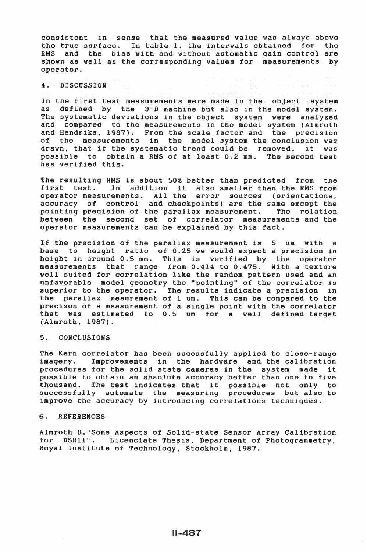consistent in sense that the measured value was always above the true surface. In table 1. the intervals obtained for the RMS and the bias with and without automatic gain control are shown as well as the corresponding values for measurements by operator.

# 4. DISCUSSION . .

In the first teat measurements were made in the object system as defined by the 3-D machine but also in the model system. The systematic deviations in the object system were analyzed and compared to the measurements in the model system (Almroth and Hendriks, 1987). From the scale factor and the precision of the measurements in the model system the conclusion was drawn, that if the systematic trend could be removed, it was possible to obtain a RMS of at least 0.2 mm. The second teat has verified this.

The resulting RMS is about 50% better than predicted from the first test. In addition it also smaller than the RMS from operator measurements. All the error sources (orientations. accuracy of control and checkpoints) are the same except the pointing precision of the parallax measurement. The relation between the second set of correlator measurements and the operator measurements can be explained by this fact.

If the precision of the parallax measurement is 5 um with a base to height ratio of 0.25 we would expect a precision in height in around 0.5 mm. This is verified by the operator measurements that range from 0.414 to 0.475. With a texture well suited for correlation like the random pattern used and an unfavorable model geometry the "pointing" of the correlator is superior to the operator. The results indicate a precision in the parallax mesurement of 1 um. This can be compared to the precison of a measurement of a single point with the correlator that was estimated to 0.5 um for a well defined target (Almroth, 1987).

### 5. CONCLUSIONS

The Kern correlator has been sucesstully applied to close-range imagery. Improvements in the hardware and the calibration procedures for the solid-state cameras in the system made it possible to obtain an absolute accuracy better than one to five thousand. The test indicates that it possible not only to successfully automate the measuring procedures but also to improve the accuracy by introducing correlations techniques.

### 6. REFERENCES

Almroth U."Some Aspects of Solid-state Sensor Array Calibration for DSRll'•. Licenciate Thesis, Department of Photogrammetry, Royal Institute of Technology. Stockholm, 1987.